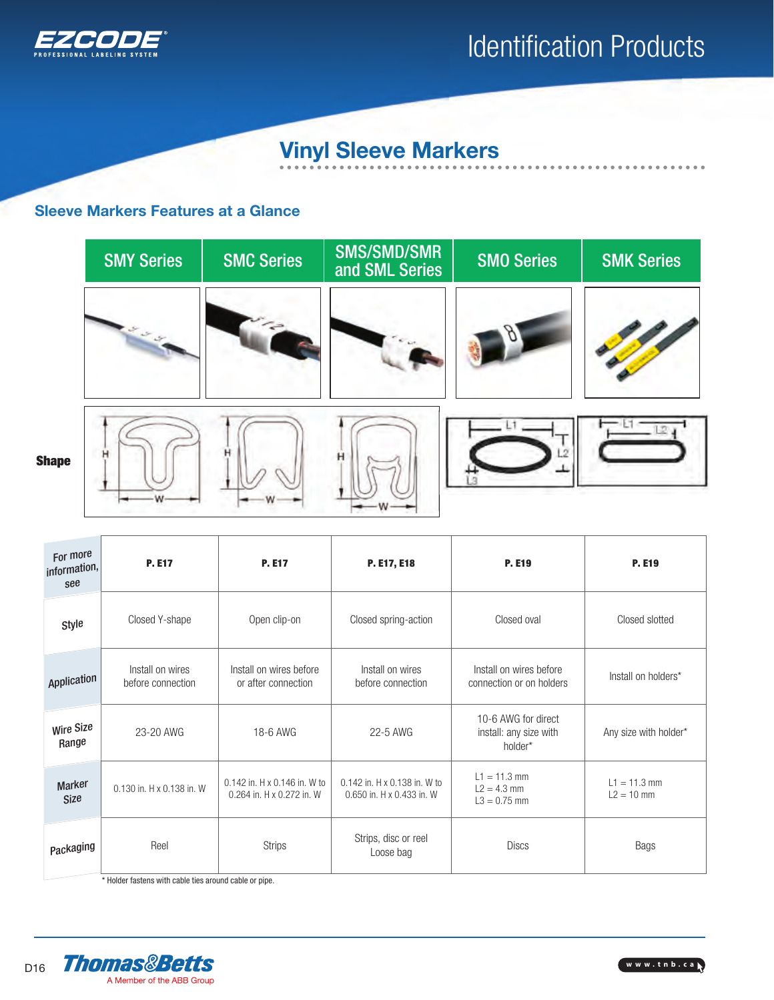

### Vinyl Sleeve Markers

### Sleeve Markers Features at a Glance



| For more<br>information,<br>see | <b>P. E17</b><br><b>P. E17</b>                                                         |                                                | P. E17, E18                                                                                                    | <b>P. E19</b>                                            | <b>P. E19</b>                  |  |
|---------------------------------|----------------------------------------------------------------------------------------|------------------------------------------------|----------------------------------------------------------------------------------------------------------------|----------------------------------------------------------|--------------------------------|--|
| Style                           | Closed Y-shape                                                                         | Open clip-on                                   | Closed spring-action                                                                                           |                                                          | Closed slotted                 |  |
| Application                     | Install on wires<br>before connection                                                  | Install on wires before<br>or after connection | Install on wires<br>before connection                                                                          | Install on wires before<br>connection or on holders      | Install on holders*            |  |
| Wire Size<br>Range              | 23-20 AWG                                                                              | 18-6 AWG                                       | 22-5 AWG                                                                                                       | 10-6 AWG for direct<br>install: any size with<br>holder* | Any size with holder*          |  |
| Marker<br>Size                  | 0.142 in. H x 0.146 in. W to<br>0.130 in. H x 0.138 in. W<br>0.264 in. H x 0.272 in. W |                                                | $L1 = 11.3$ mm<br>0.142 in. H x 0.138 in. W to<br>$L2 = 4.3$ mm<br>0.650 in. H x 0.433 in. W<br>$L3 = 0.75$ mm |                                                          | $L1 = 11.3$ mm<br>$L2 = 10$ mm |  |
| Packaging                       | Reel<br><b>Strips</b>                                                                  |                                                | Strips, disc or reel<br>Loose bag                                                                              | <b>Discs</b>                                             | <b>Bags</b>                    |  |

\* Holder fastens with cable ties around cable or pipe.



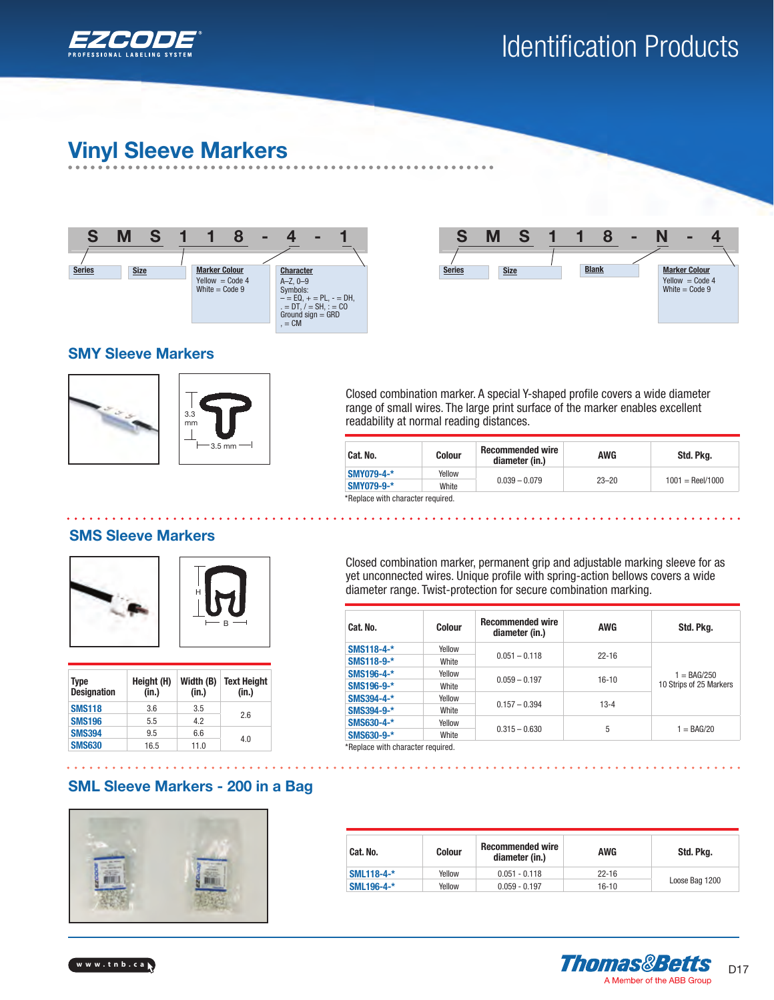

### Vinyl Sleeve Markers





#### SMY Sleeve Markers





Closed combination marker. A special Y-shaped profile covers a wide diameter range of small wires. The large print surface of the marker enables excellent readability at normal reading distances.

| Cat. No.                          | <b>Colour</b> | <b>Recommended wire</b><br>diameter (in.) | <b>AWG</b> | Std. Pkg.                 |  |  |
|-----------------------------------|---------------|-------------------------------------------|------------|---------------------------|--|--|
| <b>SMY079-4-*</b>                 | Yellow        |                                           |            | $1001 = \text{Reel}/1000$ |  |  |
| SMY079-9-*                        | White         | $0.039 - 0.079$                           | $23 - 20$  |                           |  |  |
| *Replace with character required. |               |                                           |            |                           |  |  |

### SMS Sleeve Markers



| Type<br><b>Designation</b> | Height (H)<br>(in.) | Width (B)<br>(in.) | <b>Text Height</b><br>(in.) |
|----------------------------|---------------------|--------------------|-----------------------------|
| <b>SMS118</b>              | 3.6                 | 3.5                |                             |
| <b>SMS196</b>              | 5.5                 | 4.2                | 2.6                         |
| <b>SMS394</b>              | 9.5                 | 6.6                | 4.0                         |
| <b>SMS630</b>              | 16.5                | 11.0               |                             |

### Closed combination marker, permanent grip and adjustable marking sleeve for as yet unconnected wires. Unique profile with spring-action bellows covers a wide diameter range. Twist-protection for secure combination marking.

| Cat. No.                          | Colour | <b>Recommended wire</b><br>diameter (in.) | <b>AWG</b> | Std. Pkg.                                |  |
|-----------------------------------|--------|-------------------------------------------|------------|------------------------------------------|--|
| SMS118-4-*                        | Yellow |                                           |            |                                          |  |
| SMS118-9-*                        | White  | $0.051 - 0.118$                           | $22 - 16$  |                                          |  |
| SMS196-4-*                        | Yellow | $0.059 - 0.197$                           | $16 - 10$  | $1 = BAG/250$<br>10 Strips of 25 Markers |  |
| SMS196-9-*                        | White  |                                           |            |                                          |  |
| SMS394-4-*                        | Yellow |                                           | $13 - 4$   |                                          |  |
| SMS394-9-*                        | White  | $0.157 - 0.394$                           |            |                                          |  |
| SMS630-4-*                        | Yellow | $0.315 - 0.630$                           | 5          |                                          |  |
| SMS630-9-*                        | White  |                                           |            | $1 = BAG/20$                             |  |
| *Replace with character required. |        |                                           |            |                                          |  |

### SML Sleeve Markers - 200 in a Bag



| Cat. No.<br>Colour |        | <b>Recommended wire</b><br>diameter (in.) | AWG       | Std. Pkg.      |  |
|--------------------|--------|-------------------------------------------|-----------|----------------|--|
| SML118-4-*         | Yellow | $0.051 - 0.118$                           | $22 - 16$ |                |  |
| SML196-4-*         | Yellow | $0.059 - 0.197$                           | $16 - 10$ | Loose Bag 1200 |  |



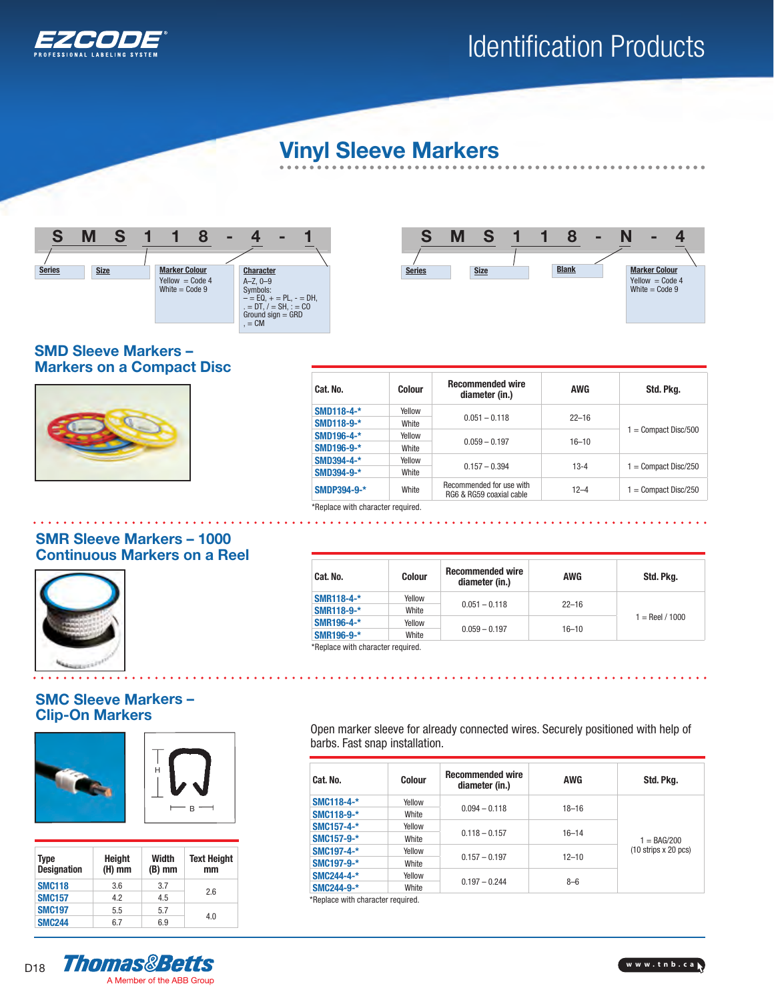

 $\qquad \qquad \bullet$  $\bullet$  $\bullet$   $\bullet$ 

### Vinyl Sleeve Markers





#### SMD Sleeve Markers – Markers on a Compact Disc



| Cat. No.             | Colour | <b>Recommended wire</b><br>diameter (in.)            | AWG       | Std. Pkg.              |  |
|----------------------|--------|------------------------------------------------------|-----------|------------------------|--|
| SMD118-4-*           | Yellow | $0.051 - 0.118$                                      | $22 - 16$ |                        |  |
| SMD118-9-*           | White  |                                                      |           |                        |  |
| SMD196-4-*           | Yellow |                                                      |           | $1 =$ Compact Disc/500 |  |
| SMD196-9-*           | White  | $0.059 - 0.197$                                      | $16 - 10$ |                        |  |
| SMD394-4-*           | Yellow |                                                      |           |                        |  |
| SMD394-9-*           | White  | $0.157 - 0.394$                                      | $13 - 4$  | $1 =$ Compact Disc/250 |  |
| SMDP394-9-*<br>White |        | Recommended for use with<br>RG6 & RG59 coaxial cable | $12 - 4$  | $1 =$ Compact Disc/250 |  |

\*Replace with character required. . . . . . . . . .

 $\mathbf{r}$ 

### SMR Sleeve Markers – 1000 Continuous Markers on a Reel



### SMC Sleeve Markers – Clip-On Markers



| Type<br><b>Designation</b> | <b>Height</b><br>$(H)$ mm | Width<br>$(B)$ mm | <b>Text Height</b><br>mm |
|----------------------------|---------------------------|-------------------|--------------------------|
| <b>SMC118</b>              | 3.6                       | 3.7               | 26                       |
| <b>SMC157</b>              | 42                        | 4.5               |                          |
| <b>SMC197</b>              | 5.5                       | 5.7               |                          |
| <b>SMC244</b>              | 67                        | 6.9               | 4.0                      |

Cat. No. Colour Recommended wire commenaed wire and awg and a Std. Pkg.<br>diameter (in.) **SMR118-4-\*** Yellow 0.051 – 0.118 22–16<br>**SMR118-9-\*** White 0.051 – 0.118 **SMR118-9-\*** White White White White Wellow 2007 1 = Reel / 1000 SMR196-4-\* Yellow 0.059 – 0.197 16–10 SMR196-9-\* White \*Replace with character required.

Open marker sleeve for already connected wires. Securely positioned with help of barbs. Fast snap installation.

| Cat. No.   | Colour | <b>Recommended wire</b><br>diameter (in.) | <b>AWG</b> | Std. Pkg.                |  |
|------------|--------|-------------------------------------------|------------|--------------------------|--|
| SMC118-4-* | Yellow |                                           |            |                          |  |
| SMC118-9-* | White  | $0.094 - 0.118$                           | $18 - 16$  |                          |  |
| SMC157-4-* | Yellow |                                           |            |                          |  |
| SMC157-9-* | White  | $0.118 - 0.157$                           | $16 - 14$  | $1 = BAG/200$            |  |
| SMC197-4-* | Yellow |                                           |            | $(10$ strips $x 20$ pcs) |  |
| SMC197-9-* | White  | $0.157 - 0.197$                           | $12 - 10$  |                          |  |
| SMC244-4-* | Yellow |                                           |            |                          |  |
| SMC244-9-* | White  | $0.197 - 0.244$                           | $8 - 6$    |                          |  |

\*Replace with character required.